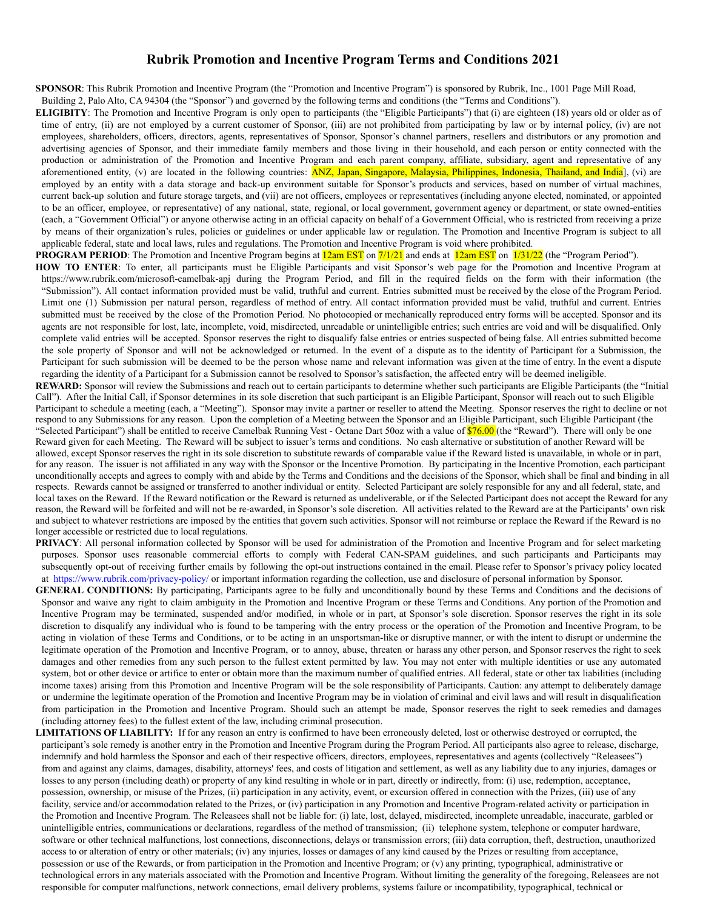## **Rubrik Promotion and Incentive Program Terms and Conditions 2021**

**SPONSOR**: This Rubrik Promotion and Incentive Program (the "Promotion and Incentive Program") is sponsored by Rubrik, Inc., 1001 Page Mill Road,

Building 2, Palo Alto, CA 94304 (the "Sponsor") and governed by the following terms and conditions (the "Terms and Conditions").

- **ELIGIBITY**: The Promotion and Incentive Program is only open to participants (the "Eligible Participants") that (i) are eighteen (18) years old or older as of time of entry, (ii) are not employed by a current customer of Sponsor, (iii) are not prohibited from participating by law or by internal policy, (iv) are not employees, shareholders, officers, directors, agents, representatives of Sponsor, Sponsor's channel partners, resellers and distributors or any promotion and advertising agencies of Sponsor, and their immediate family members and those living in their household, and each person or entity connected with the production or administration of the Promotion and Incentive Program and each parent company, affiliate, subsidiary, agent and representative of any aforementioned entity, (v) are located in the following countries: **ANZ, Japan, Singapore, Malaysia, Philippines, Indonesia, Thailand, and India**], (vi) are employed by an entity with a data storage and back-up environment suitable for Sponsor's products and services, based on number of virtual machines, current back-up solution and future storage targets, and (vii) are not officers, employees or representatives (including anyone elected, nominated, or appointed to be an officer, employee, or representative) of any national, state, regional, or local government, government agency or department, or state owned-entities (each, a "Government Official") or anyone otherwise acting in an official capacity on behalf of a Government Official, who is restricted from receiving a prize by means of their organization's rules, policies or guidelines or under applicable law or regulation. The Promotion and Incentive Program is subject to all applicable federal, state and local laws, rules and regulations. The Promotion and Incentive Program is void where prohibited.
- **PROGRAM PERIOD**: The Promotion and Incentive Program begins at **12am EST** on  $\frac{7}{1/21}$  and ends at **12am EST** on  $\frac{1}{31/22}$  (the "Program Period").
- **HOW TO ENTER**: To enter, all participants must be Eligible Participants and visit Sponsor's web page for the Promotion and Incentive Program at https://www.rubrik.com/microsoft-camelbak-apj during the Program Period, and fill in the required fields on the form with their information (the "Submission"). All contact information provided must be valid, truthful and current. Entries submitted must be received by the close of the Program Period. Limit one (1) Submission per natural person, regardless of method of entry. All contact information provided must be valid, truthful and current. Entries submitted must be received by the close of the Promotion Period. No photocopied or mechanically reproduced entry forms will be accepted. Sponsor and its agents are not responsible for lost, late, incomplete, void, misdirected, unreadable or unintelligible entries; such entries are void and will be disqualified. Only complete valid entries will be accepted. Sponsor reserves the right to disqualify false entries or entries suspected of being false. All entries submitted become the sole property of Sponsor and will not be acknowledged or returned. In the event of a dispute as to the identity of Participant for a Submission, the Participant for such submission will be deemed to be the person whose name and relevant information was given at the time of entry. In the event a dispute regarding the identity of a Participant for a Submission cannot be resolved to Sponsor's satisfaction, the affected entry will be deemed ineligible.
- **REWARD:** Sponsor will review the Submissions and reach out to certain participants to determine whether such participants are Eligible Participants (the "Initial Call"). After the Initial Call, if Sponsor determines in its sole discretion that such participant is an Eligible Participant, Sponsor will reach out to such Eligible Participant to schedule a meeting (each, a "Meeting"). Sponsor may invite a partner or reseller to attend the Meeting. Sponsor reserves the right to decline or not respond to any Submissions for any reason. Upon the completion of a Meeting between the Sponsor and an Eligible Participant, such Eligible Participant (the "Selected Participant") shall be entitled to receive Camelbak Running Vest - Octane Dart 50oz with a value of  $\sqrt{876.00}$  (the "Reward"). There will only be one Reward given for each Meeting. The Reward will be subject to issuer's terms and conditions. No cash alternative or substitution of another Reward will be allowed, except Sponsor reserves the right in its sole discretion to substitute rewards of comparable value if the Reward listed is unavailable, in whole or in part, for any reason. The issuer is not affiliated in any way with the Sponsor or the Incentive Promotion. By participating in the Incentive Promotion, each participant unconditionally accepts and agrees to comply with and abide by the Terms and Conditions and the decisions of the Sponsor, which shall be final and binding in all respects. Rewards cannot be assigned or transferred to another individual or entity. Selected Participant are solely responsible for any and all federal, state, and local taxes on the Reward. If the Reward notification or the Reward is returned as undeliverable, or if the Selected Participant does not accept the Reward for any reason, the Reward will be forfeited and will not be re-awarded, in Sponsor's sole discretion. All activities related to the Reward are at the Participants' own risk and subject to whatever restrictions are imposed by the entities that govern such activities. Sponsor will not reimburse or replace the Reward if the Reward is no longer accessible or restricted due to local regulations.
- **PRIVACY**: All personal information collected by Sponsor will be used for administration of the Promotion and Incentive Program and for select marketing purposes. Sponsor uses reasonable commercial efforts to comply with Federal CAN-SPAM guidelines, and such participants and Participants may subsequently opt-out of receiving further emails by following the opt-out instructions contained in the email. Please refer to Sponsor's privacy policy located at <https://www.rubrik.com/privacy-policy/> or important information regarding the collection, use and disclosure of personal information by Sponsor.
- **GENERAL CONDITIONS:** By participating, Participants agree to be fully and unconditionally bound by these Terms and Conditions and the decisions of Sponsor and waive any right to claim ambiguity in the Promotion and Incentive Program or these Terms and Conditions. Any portion of the Promotion and Incentive Program may be terminated, suspended and/or modified, in whole or in part, at Sponsor's sole discretion. Sponsor reserves the right in its sole discretion to disqualify any individual who is found to be tampering with the entry process or the operation of the Promotion and Incentive Program, to be acting in violation of these Terms and Conditions, or to be acting in an unsportsman-like or disruptive manner, or with the intent to disrupt or undermine the legitimate operation of the Promotion and Incentive Program, or to annoy, abuse, threaten or harass any other person, and Sponsor reserves the right to seek damages and other remedies from any such person to the fullest extent permitted by law. You may not enter with multiple identities or use any automated system, bot or other device or artifice to enter or obtain more than the maximum number of qualified entries. All federal, state or other tax liabilities (including income taxes) arising from this Promotion and Incentive Program will be the sole responsibility of Participants. Caution: any attempt to deliberately damage or undermine the legitimate operation of the Promotion and Incentive Program may be in violation of criminal and civil laws and will result in disqualification from participation in the Promotion and Incentive Program. Should such an attempt be made, Sponsor reserves the right to seek remedies and damages (including attorney fees) to the fullest extent of the law, including criminal prosecution.
- **LIMITATIONS OF LIABILITY:** If for any reason an entry is confirmed to have been erroneously deleted, lost or otherwise destroyed or corrupted, the participant's sole remedy is another entry in the Promotion and Incentive Program during the Program Period. All participants also agree to release, discharge, indemnify and hold harmless the Sponsor and each of their respective officers, directors, employees, representatives and agents (collectively "Releasees") from and against any claims, damages, disability, attorneys' fees, and costs of litigation and settlement, as well as any liability due to any injuries, damages or losses to any person (including death) or property of any kind resulting in whole or in part, directly or indirectly, from: (i) use, redemption, acceptance, possession, ownership, or misuse of the Prizes, (ii) participation in any activity, event, or excursion offered in connection with the Prizes, (iii) use of any facility, service and/or accommodation related to the Prizes, or (iv) participation in any Promotion and Incentive Program-related activity or participation in the Promotion and Incentive Program*.* The Releasees shall not be liable for: (i) late, lost, delayed, misdirected, incomplete unreadable, inaccurate, garbled or unintelligible entries, communications or declarations, regardless of the method of transmission; (ii) telephone system, telephone or computer hardware, software or other technical malfunctions, lost connections, disconnections, delays or transmission errors; (iii) data corruption, theft, destruction, unauthorized access to or alteration of entry or other materials; (iv) any injuries, losses or damages of any kind caused by the Prizes or resulting from acceptance, possession or use of the Rewards, or from participation in the Promotion and Incentive Program; or (v) any printing, typographical, administrative or technological errors in any materials associated with the Promotion and Incentive Program. Without limiting the generality of the foregoing, Releasees are not responsible for computer malfunctions, network connections, email delivery problems, systems failure or incompatibility, typographical, technical or